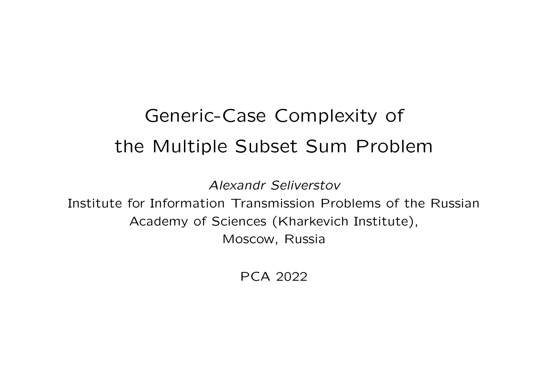# Generic-Case Complexity of the Multiple Subset Sum Problem

Alexandr Seliverstov

Institute for Information Transmission Problems of the RussianAcademy of Sciences (Kharkevich Institute), Moscow, Russia

PCA <sup>2022</sup>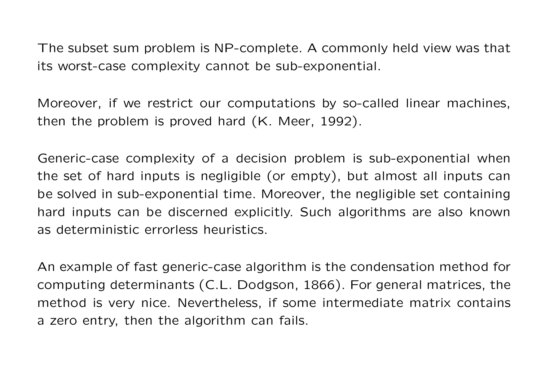The subset sum problem is NP-complete. <sup>A</sup> commonly held view was thatits worst-case complexity cannot be sub-exponential.

Moreover, if we restrict our computations by so-called linear machines, then the problem is proved hard (K. Meer, 1992).

Generic-case complexity of <sup>a</sup> decision problem is sub-exponential when the set of hard inputs is negligible (or empty), but almost all inputs canbe solved in sub-exponential time. Moreover, the negligible set containing hard inputs can be discerned explicitly. Such algorithms are also knownas deterministic errorless heuristics.

An example of fast generic-case algorithm is the condensation method forcomputing determinants (C.L. Dodgson, 1866). For general matrices, the method is very nice. Nevertheless, if some intermediate matrix contains<sup>a</sup> zero entry, then the algorithm can fails.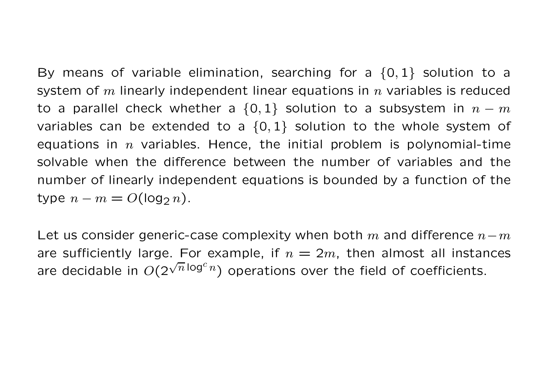By means of variable elimination, searching for a  $\{0, 1\}$  solution to a system of m linearly independent linear equations in n variables is reduced to a parallel check whether a  $\{0, 1\}$  solution to a subsystem in  $n-m$ variables can be extended to a  $\{0, 1\}$  solution to the whole system of equations in  $n$  variables. Hence, the initial problem is polynomial-time solvable when the difference between the number of variables and thenumber of linearly independent equations is bounded by <sup>a</sup> function of thetype  $n-m=O(\log_2n).$ 

Let us consider generic-case complexity when both  $m$  and difference  $n-m$ are sufficiently large. For example, if  $n=2m$ , then almost all instances are decidable in  $O(2^{\sqrt{n} \log^c n})$  operations over the field of coefficients.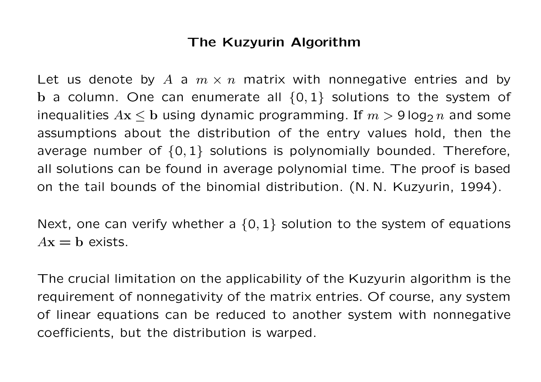## The Kuzyurin Algorithm

Let us denote by  $A$  a  $m \times n$  matrix with nonnegative entries and by<br>Let us denote by  $A$  a  $m \times n$  matrix with nonnegative entries and by  $\mathbf b$  a column. One can enumerate all  $\{0,1\}$  solutions to the system of inequalities  $A\mathbf{x} \leq \mathbf{b}$  using dynamic programming. If  $m > 9\log_2 n$  and some assumptions about the distribution of the entry values hold, then theaverage number of  $\{0,1\}$  solutions is polynomially bounded. Therefore, all solutions can be found in average polynomial time. The proof is basedon the tail bounds of the binomial distribution. (N. N. Kuzyurin, 1994).

Next, one can verify whether a  $\{0,1\}$  solution to the system of equations  $A\mathbf{x} = \mathbf{b}$  exists.

The crucial limitation on the applicability of the Kuzyurin algorithm is the requirement of nonnegativity of the matrix entries. Of course, any system of linear equations can be reduced to another system with nonnegativecoefficients, but the distribution is warped.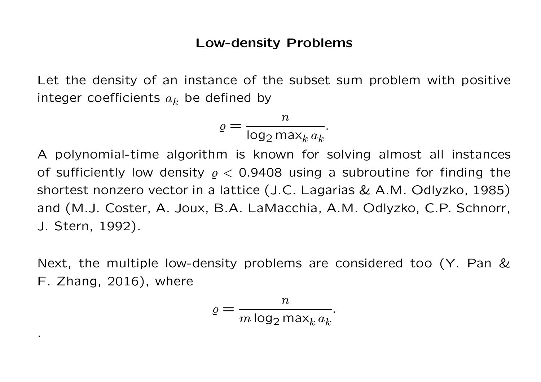#### Low-density Problems

Let the density of an instance of the subset sum problem with positiveinteger coefficients  $a_k$  be defined by

$$
\varrho = \frac{n}{\log_2 \max_k a_k}.
$$

<sup>A</sup> polynomial-time algorithm is known for solving almost all instancesof sufficiently low density  $\varrho < 0.9408$  using a subroutine for finding the shortest nonzero vector in <sup>a</sup> lattice (J.C. Lagarias & A.M. Odlyzko, 1985)and (M.J. Coster, A. Joux, B.A. LaMacchia, A.M. Odlyzko, C.P. Schnorr, J. Stern, 1992).

Next, the multiple low-density problems are considered too (Y. Pan &F. Zhang, 2016), where

$$
\varrho = \frac{n}{m \log_2 \max_k a_k}.
$$

.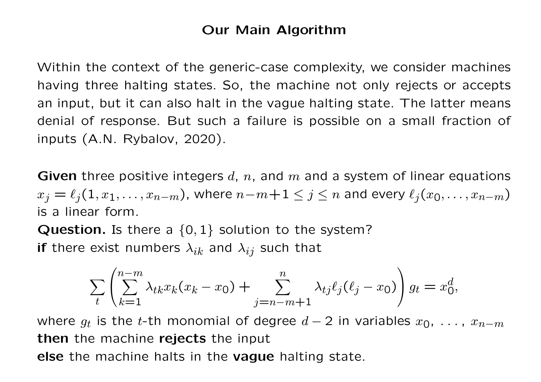### Our Main Algorithm

Within the context of the generic-case complexity, we consider machineshaving three halting states. So, the machine not only rejects or acceptsan input, but it can also halt in the vague halting state. The latter meansdenial of response. But such <sup>a</sup> failure is possible on <sup>a</sup> small fraction of inputs (A.N. Rybalov, 2020).

**Given** three positive integers  $d$ ,  $n$ , and  $m$  and a system of linear equations  $x_j = \ell_j(1, x_1, \ldots, x_{n-m})$ , where  $n{-}m{+}1 \leq j \leq n$  and every  $\ell_j(x_0, \ldots, x_{n-m})$ is <sup>a</sup> linear form.

**Question.** Is there a  $\{0,1\}$  solution to the system? **if** there exist numbers  $\lambda_{ik}$  and  $\lambda_{ij}$  such that

$$
\sum_{t} \left( \sum_{k=1}^{n-m} \lambda_{tk} x_k (x_k - x_0) + \sum_{j=n-m+1}^{n} \lambda_{tj} \ell_j (\ell_j - x_0) \right) g_t = x_0^d,
$$

where  $g_t$  is the t-th monomial of degree  $d-2$  in variables  $x_0,$   $\dots$  ,  $x_{n-m}$ **then** the machine rejects the input else the machine halts in the vague halting state.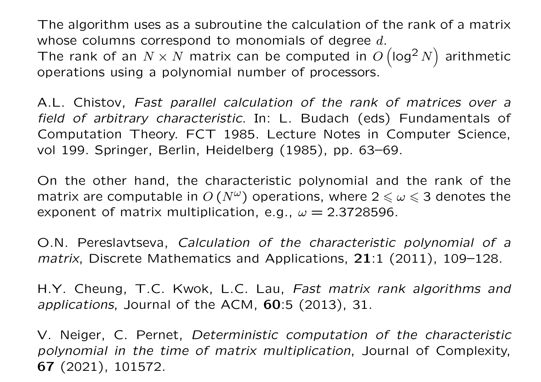The algorithm uses as <sup>a</sup> subroutine the calculation of the rank of <sup>a</sup> matrixwhose columns correspond to monomials of degree  $d.$ The rank of an  $N \times N$  matrix can be computed in  $O( \log^2 n)$  operations using <sup>a</sup> polynomial number of processors.  $^{2}$  N) arithmetic

A.L. Chistov, Fast parallel calculation of the rank of matrices over <sup>a</sup> field of arbitrary characteristic. In: L. Budach (eds) Fundamentals of Computation Theory. FCT 1985. Lecture Notes in Computer Science, vol 199. Springer, Berlin, Heidelberg (1985), pp. 63–69.

On the other hand, the characteristic polynomial and the rank of thematrix are computable in  $O\left(N^{\omega}\right)$  operations, where  $2\leqslant\omega\leqslant3$  denotes the exponent of matrix multiplication, e.g.,  $\omega = 2.3728596$ .

O.N. Pereslavtseva, Calculation of the characteristic polynomial of <sup>a</sup>*matrix*, Discrete Mathematics and Applications,  $21:1$  (2011), 109–128.

H.Y. Cheung, T.C. Kwok, L.C. Lau, Fast matrix rank algorithms andapplications, Journal of the ACM, 60:5 (2013), 31.

V. Neiger, C. Pernet, Deterministic computation of the characteristic polynomial in the time of matrix multiplication, Journal of Complexity, **67** (2021), 101572.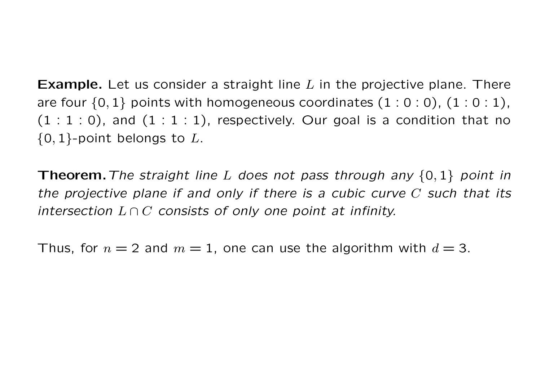**Example.** Let us consider a straight line  $L$  in the projective plane. There are four  $\{0,1\}$  points with homogeneous coordinates  $(1:0:0)$ ,  $(1:0:1)$ ,  $(1:1:0)$ , and  $(1:1:1)$ , respectively. Our goal is a condition that no  $\{0,1\}$ -point belongs to  $L.$ 

**Theorem.** The straight line  $L$  does not pass through any  $\{0,1\}$  point in the projective plane if and only if there is <sup>a</sup> cubic curve <sup>C</sup> such that its intersection  $L \cap C$  consists of only one point at infinity.

Thus, for  $n = 2$  and  $m = 1$ , one can use the algorithm with  $d = 3$ .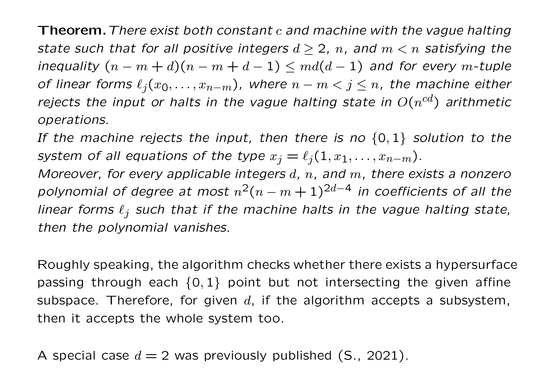$\bf Theorem.$  There exist both constant  $c$  and machine with the vague halting state such that for all positive integers  $d \geq 2$ , n, and  $m < n$  satisfying the inequality  $(n-m+d)(n-m+d-1)\leq md(d-1)$  and for every m-tuple<br>of linear forms  $\ell$  ( of linear forms  $\ell_j(x_0, \ldots, x_{n-m})$ , where  $n-m < j \leq n$ , the machine either rejects the input or halts in the vague halting state in  $O(n^{\rm cd})$  arithmetic operations.

If the machine rejects the input, then there is no  $\{0,1\}$  solution to the

system of all equations of the type  $x_j = \ell_j(1, x_1, \ldots, x_{n-m})$ .<br>Moreover, for every applicable integers  $d$ ,  $n$ , and  $m$ , there ex  $\mathop{\mathrm{ad}}\nolimits$ ,  $n$ , and  $m$ , there exists a nonzero polynomial of degree at most  $n^2(n-m+1)^{2d-4}$  in coefficients of all the<br>linear farmes  $\ell$  , such that if the mashine halte in the very a baltime state. linear forms  $\ell_j$  such that if the machine halts in the vague halting state, then the polynomial vanishes.

Roughly speaking, the algorithm checks whether there exists <sup>a</sup> hypersurfacepassing through each  $\{0,1\}$  point but not intersecting the given affine subspace. Therefore, for given  $d$ , if the algorithm accepts a subsystem, then it accepts the whole system too.

A special case  $d = 2$  was previously published (S., 2021).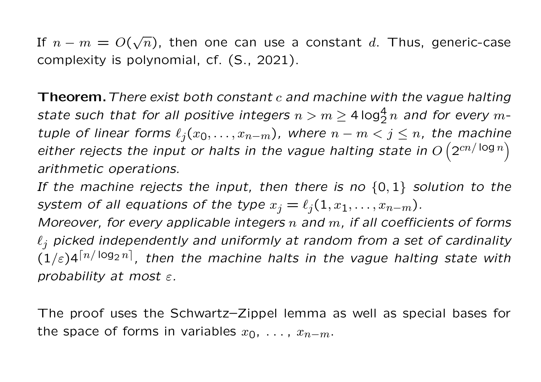If  $n - m = O(\sqrt{n})$ , then one can use a constant d. Thus, generic-case complexity is polynomial, cf. (S., 2021).

 $\bf Theorem.$  There exist both constant  $c$  and machine with the vague halting state such that for all positive integers  $n>m\geq 4\log^4_2n$  and for every  $m$ -<br>tuple of linear forms  $\ell_j(x_0,\ldots,x_{n-m})$ , where  $n-m < j \leq n$ , the machine s  $\ell_j(x_0, \ldots, x_{n-m})$ , where  $n-m < j \leq n$ , the machine either rejects the input or halts in the vague halting state in  $O\left(2^{cn/\log n}\right)$ arithmetic operations.

If the machine rejects the input, then there is no  $\{0,1\}$  solution to the system of all equations of the type  $x_j = \ell_j(1,x_1,\ldots,x_{n-m})$ .<br>Moreover, for every applicable integers  $n$  and  $m$ , if all coeffic

 $\mathop{\mathrm {s}}\nolimits$   $n$  and  $m$ , if all coefficients of forms  $\ell_j$  picked independently and uniformly at random from a set of cardinality  $(1/\varepsilon)4^{\lceil n/\log_2 n \rceil}$ , then the machine halts in the vague halting state with probability at most  $\varepsilon.$ 

The proof uses the Schwartz–Zippel lemma as well as special bases forthe space of forms in variables  $x_0,$   $\dots$  ,  $x_{n-m}.$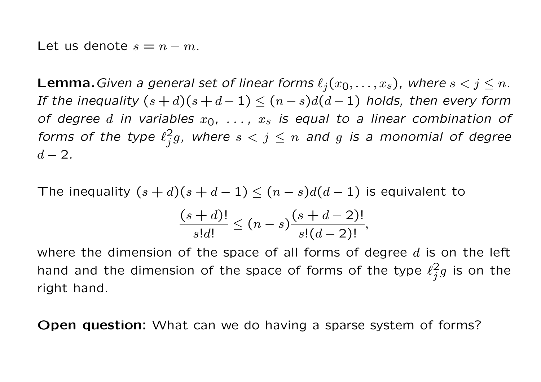Let us denote  $s = n - m$ .

**Lemma.** Given a general set of linear forms  $\ell_j(x_0, \ldots, x_s)$ , where  $s < j \leq$ **Lemma.** Given a general set of linear forms  $\ell_j(x_0, \ldots, x_s)$ , where  $s < j \leq n$ .<br>If the inequality  $(s+d)(s+d-1) < (n-s)d(d-1)$  holds, then every form the inequality  $(s+d)(s+d-1) \leq (n-s)d(d-1)$  holds, then every form of degree  $d$  in variables  $x_0, \ \ldots, \ x_s$  is equal to a linear combination of forms of the type  $\ell_j^2 g$ , where  $s < j \leq n$  and  $g$  is a monomial of degree  $\,d$  $d - 2.$ 

The inequality  $(s+d)(s+d-1) \leq (n-s)d(d-1)$  is equivalent to

$$
\frac{(s+d)!}{s!d!} \le (n-s) \frac{(s+d-2)!}{s!(d-2)!},
$$

where the dimension of the space of all forms of degree  $d$  is on the left hand and the dimension of the space of forms of the type  $\ell_j^2g$  is on the right hand.

**Open question:** What can we do having a sparse system of forms?